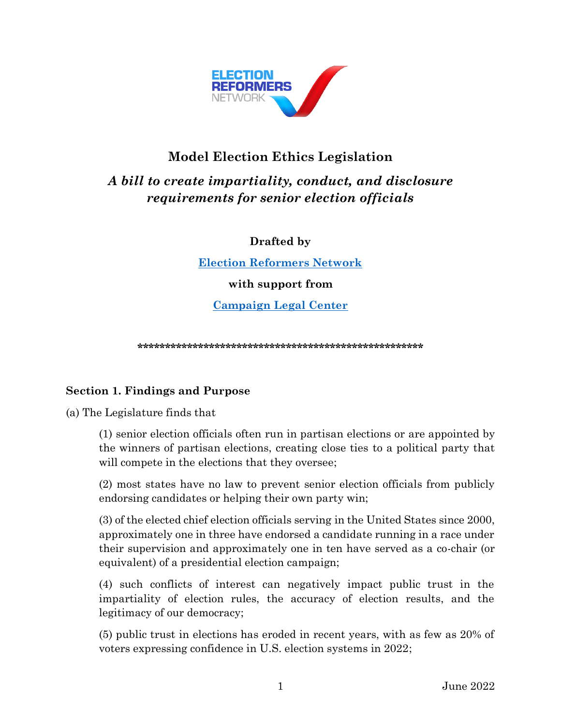

# **Model Election Ethics Legislation**

# *A bill to create impartiality, conduct, and disclosure requirements for senior election officials*

**Drafted by**

**[Election Reformers Network](https://electionreformers.org/)**

**with support from**

**[Campaign Legal Center](https://campaignlegal.org/)**

**\*\*\*\*\*\*\*\*\*\*\*\*\*\*\*\*\*\*\*\*\*\*\*\*\*\*\*\*\*\*\*\*\*\*\*\*\*\*\*\*\*\*\*\*\*\*\*\*\*\*\*\***

#### **Section 1. Findings and Purpose**

(a) The Legislature finds that

(1) senior election officials often run in partisan elections or are appointed by the winners of partisan elections, creating close ties to a political party that will compete in the elections that they oversee;

(2) most states have no law to prevent senior election officials from publicly endorsing candidates or helping their own party win;

(3) of the elected chief election officials serving in the United States since 2000, approximately one in three have endorsed a candidate running in a race under their supervision and approximately one in ten have served as a co-chair (or equivalent) of a presidential election campaign;

(4) such conflicts of interest can negatively impact public trust in the impartiality of election rules, the accuracy of election results, and the legitimacy of our democracy;

(5) public trust in elections has eroded in recent years, with as few as 20% of voters expressing confidence in U.S. election systems in 2022;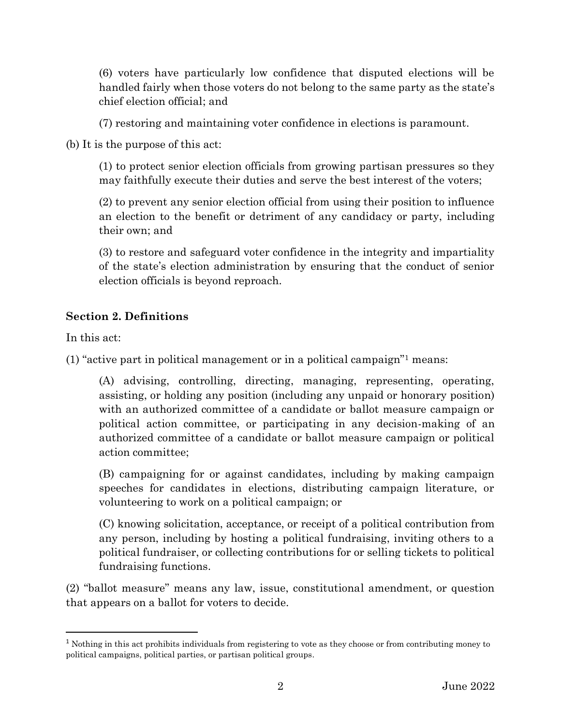(6) voters have particularly low confidence that disputed elections will be handled fairly when those voters do not belong to the same party as the state's chief election official; and

(7) restoring and maintaining voter confidence in elections is paramount.

(b) It is the purpose of this act:

(1) to protect senior election officials from growing partisan pressures so they may faithfully execute their duties and serve the best interest of the voters;

(2) to prevent any senior election official from using their position to influence an election to the benefit or detriment of any candidacy or party, including their own; and

(3) to restore and safeguard voter confidence in the integrity and impartiality of the state's election administration by ensuring that the conduct of senior election officials is beyond reproach.

## **Section 2. Definitions**

In this act:

(1) "active part in political management or in a political campaign"<sup>1</sup> means:

(A) advising, controlling, directing, managing, representing, operating, assisting, or holding any position (including any unpaid or honorary position) with an authorized committee of a candidate or ballot measure campaign or political action committee, or participating in any decision-making of an authorized committee of a candidate or ballot measure campaign or political action committee;

(B) campaigning for or against candidates, including by making campaign speeches for candidates in elections, distributing campaign literature, or volunteering to work on a political campaign; or

(C) knowing solicitation, acceptance, or receipt of a political contribution from any person, including by hosting a political fundraising, inviting others to a political fundraiser, or collecting contributions for or selling tickets to political fundraising functions.

(2) "ballot measure" means any law, issue, constitutional amendment, or question that appears on a ballot for voters to decide.

<sup>1</sup> Nothing in this act prohibits individuals from registering to vote as they choose or from contributing money to political campaigns, political parties, or partisan political groups.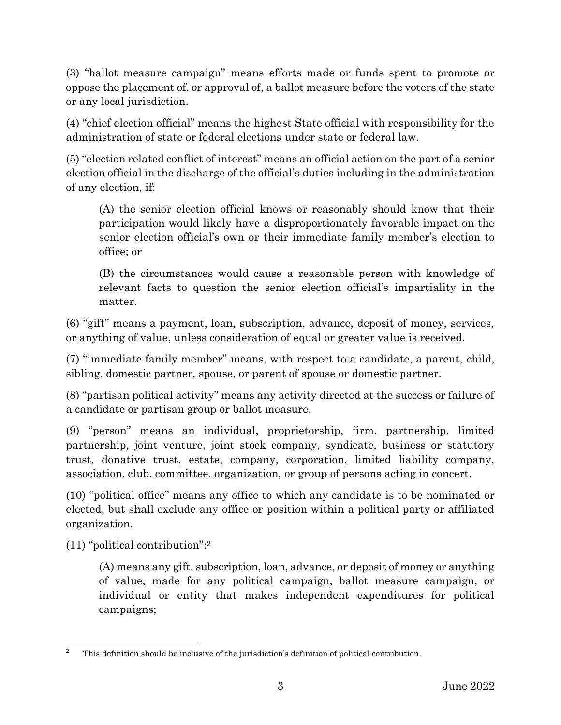(3) "ballot measure campaign" means efforts made or funds spent to promote or oppose the placement of, or approval of, a ballot measure before the voters of the state or any local jurisdiction.

(4) "chief election official" means the highest State official with responsibility for the administration of state or federal elections under state or federal law.

(5) "election related conflict of interest" means an official action on the part of a senior election official in the discharge of the official's duties including in the administration of any election, if:

(A) the senior election official knows or reasonably should know that their participation would likely have a disproportionately favorable impact on the senior election official's own or their immediate family member's election to office; or

(B) the circumstances would cause a reasonable person with knowledge of relevant facts to question the senior election official's impartiality in the matter.

(6) "gift" means a payment, loan, subscription, advance, deposit of money, services, or anything of value, unless consideration of equal or greater value is received.

(7) "immediate family member" means, with respect to a candidate, a parent, child, sibling, domestic partner, spouse, or parent of spouse or domestic partner.

(8) "partisan political activity" means any activity directed at the success or failure of a candidate or partisan group or ballot measure.

(9) "person" means an individual, proprietorship, firm, partnership, limited partnership, joint venture, joint stock company, syndicate, business or statutory trust, donative trust, estate, company, corporation, limited liability company, association, club, committee, organization, or group of persons acting in concert.

(10) "political office" means any office to which any candidate is to be nominated or elected, but shall exclude any office or position within a political party or affiliated organization.

(11) "political contribution":<sup>2</sup>

(A) means any gift, subscription, loan, advance, or deposit of money or anything of value, made for any political campaign, ballot measure campaign, or individual or entity that makes independent expenditures for political campaigns;

<sup>2</sup> This definition should be inclusive of the jurisdiction's definition of political contribution.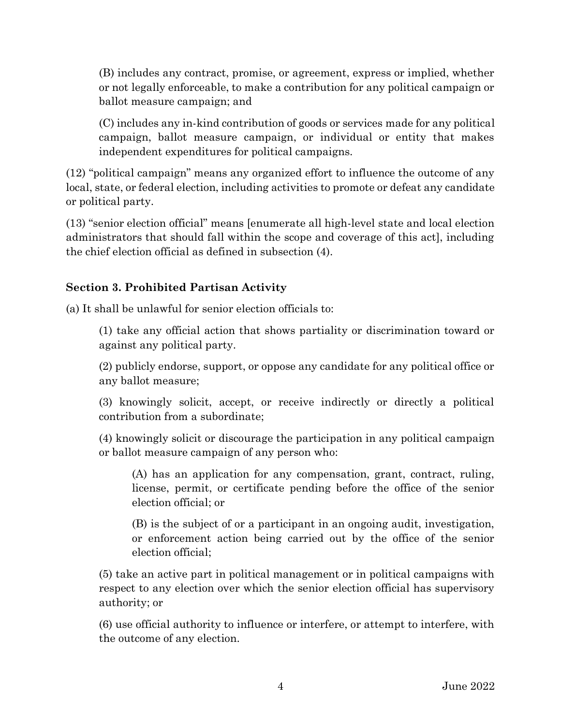(B) includes any contract, promise, or agreement, express or implied, whether or not legally enforceable, to make a contribution for any political campaign or ballot measure campaign; and

(C) includes any in-kind contribution of goods or services made for any political campaign, ballot measure campaign, or individual or entity that makes independent expenditures for political campaigns.

(12) "political campaign" means any organized effort to influence the outcome of any local, state, or federal election, including activities to promote or defeat any candidate or political party.

(13) "senior election official" means [enumerate all high-level state and local election administrators that should fall within the scope and coverage of this act], including the chief election official as defined in subsection (4).

## **Section 3. Prohibited Partisan Activity**

(a) It shall be unlawful for senior election officials to:

(1) take any official action that shows partiality or discrimination toward or against any political party.

(2) publicly endorse, support, or oppose any candidate for any political office or any ballot measure;

(3) knowingly solicit, accept, or receive indirectly or directly a political contribution from a subordinate;

(4) knowingly solicit or discourage the participation in any political campaign or ballot measure campaign of any person who:

(A) has an application for any compensation, grant, contract, ruling, license, permit, or certificate pending before the office of the senior election official; or

(B) is the subject of or a participant in an ongoing audit, investigation, or enforcement action being carried out by the office of the senior election official;

(5) take an active part in political management or in political campaigns with respect to any election over which the senior election official has supervisory authority; or

(6) use official authority to influence or interfere, or attempt to interfere, with the outcome of any election.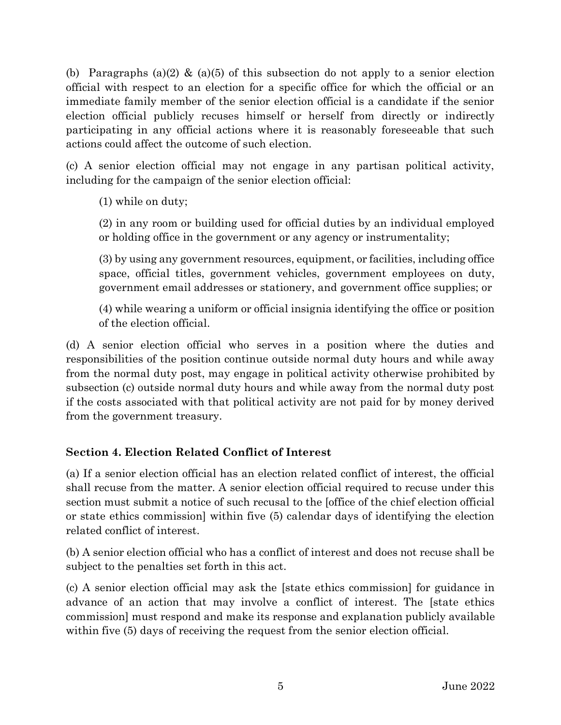(b) Paragraphs (a)(2)  $\&$  (a)(5) of this subsection do not apply to a senior election official with respect to an election for a specific office for which the official or an immediate family member of the senior election official is a candidate if the senior election official publicly recuses himself or herself from directly or indirectly participating in any official actions where it is reasonably foreseeable that such actions could affect the outcome of such election.

(c) A senior election official may not engage in any partisan political activity, including for the campaign of the senior election official:

(1) while on duty;

(2) in any room or building used for official duties by an individual employed or holding office in the government or any agency or instrumentality;

(3) by using any government resources, equipment, or facilities, including office space, official titles, government vehicles, government employees on duty, government email addresses or stationery, and government office supplies; or

(4) while wearing a uniform or official insignia identifying the office or position of the election official.

(d) A senior election official who serves in a position where the duties and responsibilities of the position continue outside normal duty hours and while away from the normal duty post, may engage in political activity otherwise prohibited by subsection (c) outside normal duty hours and while away from the normal duty post if the costs associated with that political activity are not paid for by money derived from the government treasury.

## **Section 4. Election Related Conflict of Interest**

(a) If a senior election official has an election related conflict of interest, the official shall recuse from the matter. A senior election official required to recuse under this section must submit a notice of such recusal to the [office of the chief election official or state ethics commission] within five (5) calendar days of identifying the election related conflict of interest.

(b) A senior election official who has a conflict of interest and does not recuse shall be subject to the penalties set forth in this act.

(c) A senior election official may ask the [state ethics commission] for guidance in advance of an action that may involve a conflict of interest. The [state ethics commission] must respond and make its response and explanation publicly available within five (5) days of receiving the request from the senior election official.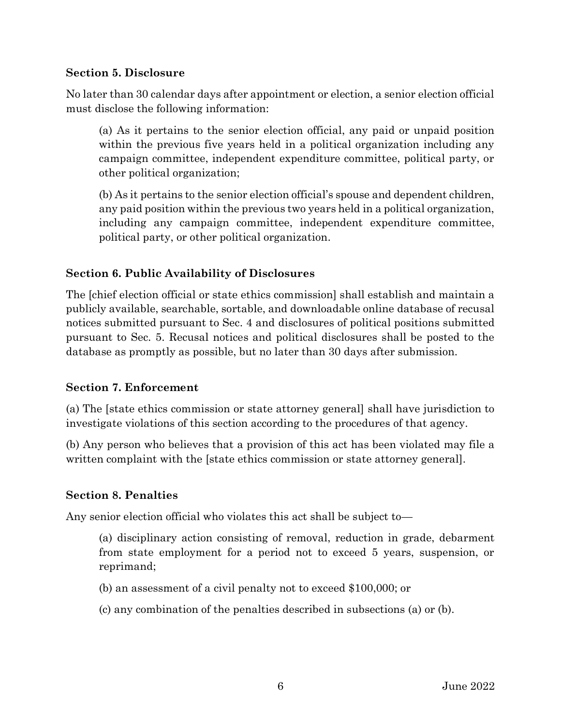#### **Section 5. Disclosure**

No later than 30 calendar days after appointment or election, a senior election official must disclose the following information:

(a) As it pertains to the senior election official, any paid or unpaid position within the previous five years held in a political organization including any campaign committee, independent expenditure committee, political party, or other political organization;

(b) As it pertains to the senior election official's spouse and dependent children, any paid position within the previous two years held in a political organization, including any campaign committee, independent expenditure committee, political party, or other political organization.

#### **Section 6. Public Availability of Disclosures**

The [chief election official or state ethics commission] shall establish and maintain a publicly available, searchable, sortable, and downloadable online database of recusal notices submitted pursuant to Sec. 4 and disclosures of political positions submitted pursuant to Sec. 5. Recusal notices and political disclosures shall be posted to the database as promptly as possible, but no later than 30 days after submission.

#### **Section 7. Enforcement**

(a) The [state ethics commission or state attorney general] shall have jurisdiction to investigate violations of this section according to the procedures of that agency.

(b) Any person who believes that a provision of this act has been violated may file a written complaint with the [state ethics commission or state attorney general].

#### **Section 8. Penalties**

Any senior election official who violates this act shall be subject to—

(a) disciplinary action consisting of removal, reduction in grade, debarment from state employment for a period not to exceed 5 years, suspension, or reprimand;

- (b) an assessment of a civil penalty not to exceed \$100,000; or
- (c) any combination of the penalties described in subsections (a) or (b).